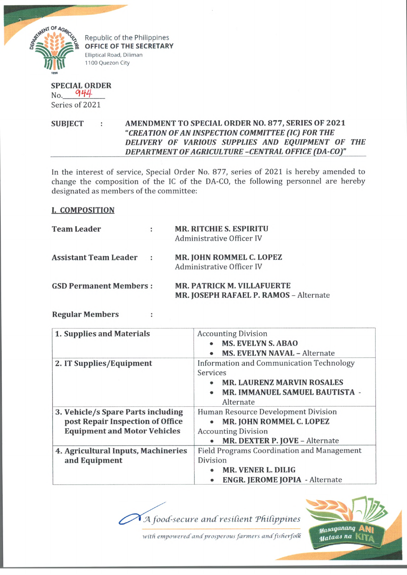

Republic of the Philippines **OFFICE OF THE SECRETARY** Elliptical Road, Diliman 1100 Quezon City

## **SPECIAL ORDER**  $_{\rm No.}$  944 Series of 2021

## **SUBJECT : AMENDMENT TO SPECIAL ORDER NO. 877, SERIES OF 2021** *"CREA TION OF AN INSPECTION COMMITTEE (IC) FOR THE DELIVERY OF VARIOUS SUPPLIES AND EQUIPMENT OF THE DEPARTMENT OF AGRICULTURE -CENTRAL OFFICE (DA-CO)"*\_\_\_\_\_

In the interest of service, Special Order No. 877, series of 2021 is hereby amended to change the composition of the IC of the DA-CO, the following personnel are hereby designated as members of the committee:

## **I. COMPOSITION**

| <b>Team Leader</b>            | ÷                    | <b>MR. RITCHIE S. ESPIRITU</b><br>Administrative Officer IV                 |
|-------------------------------|----------------------|-----------------------------------------------------------------------------|
| <b>Assistant Team Leader</b>  | $\ddot{\phantom{a}}$ | <b>MR. JOHN ROMMEL C. LOPEZ</b><br>Administrative Officer IV                |
| <b>GSD Permanent Members:</b> |                      | <b>MR. PATRICK M. VILLAFUERTE</b><br>MR. JOSEPH RAFAEL P. RAMOS - Alternate |

## **Regular Members :**

| 1. Supplies and Materials           | <b>Accounting Division</b>                        |
|-------------------------------------|---------------------------------------------------|
|                                     | <b>MS. EVELYN S. ABAO</b>                         |
|                                     | <b>MS. EVELYN NAVAL - Alternate</b>               |
| 2. IT Supplies/Equipment            | Information and Communication Technology          |
|                                     | Services                                          |
|                                     | <b>MR. LAURENZ MARVIN ROSALES</b>                 |
|                                     | MR. IMMANUEL SAMUEL BAUTISTA -                    |
|                                     | Alternate                                         |
| 3. Vehicle/s Spare Parts including  | Human Resource Development Division               |
| post Repair Inspection of Office    | MR. JOHN ROMMEL C. LOPEZ                          |
| <b>Equipment and Motor Vehicles</b> | <b>Accounting Division</b>                        |
|                                     | MR. DEXTER P. JOVE - Alternate                    |
| 4. Agricultural Inputs, Machineries | <b>Field Programs Coordination and Management</b> |
| and Equipment                       | Division                                          |
|                                     | <b>MR. VENER L. DILIG</b>                         |
|                                     | <b>ENGR. JEROME JOPIA - Alternate</b>             |

*JA food-secure a n d resident 'PftiCipjpines*



*with empowered'and'prosperous farmers andfisherfoOk*